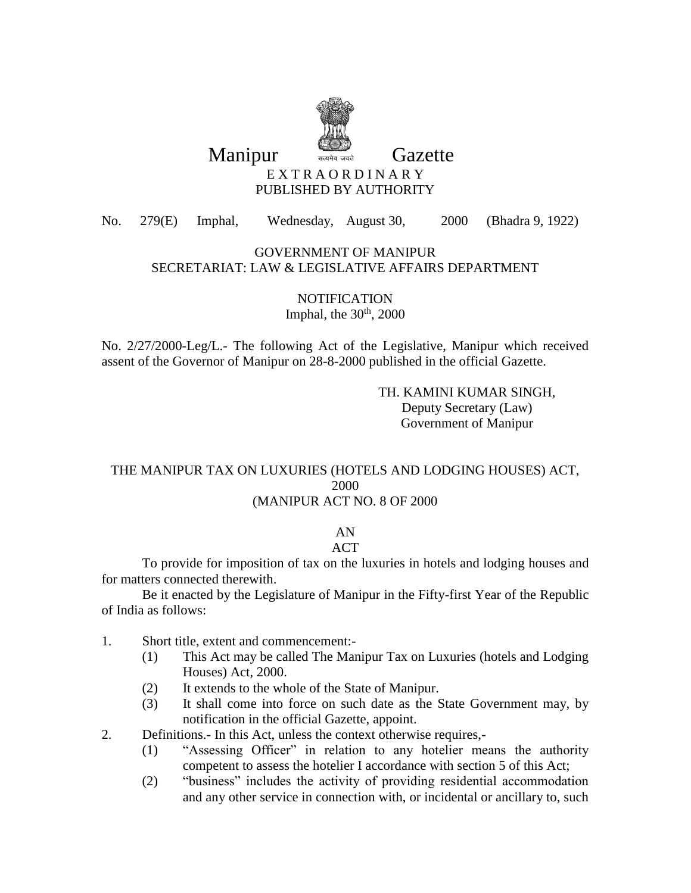

Manipur **Gazette** 

### E X T R A O R D I N A R Y PUBLISHED BY AUTHORITY

No. 279(E) Imphal, Wednesday, August 30, 2000 (Bhadra 9, 1922)

#### GOVERNMENT OF MANIPUR SECRETARIAT: LAW & LEGISLATIVE AFFAIRS DEPARTMENT

**NOTIFICATION** Imphal, the  $30<sup>th</sup>$ , 2000

No. 2/27/2000-Leg/L.- The following Act of the Legislative, Manipur which received assent of the Governor of Manipur on 28-8-2000 published in the official Gazette.

> TH. KAMINI KUMAR SINGH, Deputy Secretary (Law) Government of Manipur

### THE MANIPUR TAX ON LUXURIES (HOTELS AND LODGING HOUSES) ACT, 2000 (MANIPUR ACT NO. 8 OF 2000

# AN

## **ACT**

To provide for imposition of tax on the luxuries in hotels and lodging houses and for matters connected therewith.

Be it enacted by the Legislature of Manipur in the Fifty-first Year of the Republic of India as follows:

- 1. Short title, extent and commencement:-
	- (1) This Act may be called The Manipur Tax on Luxuries (hotels and Lodging Houses) Act, 2000.
	- (2) It extends to the whole of the State of Manipur.
	- (3) It shall come into force on such date as the State Government may, by notification in the official Gazette, appoint.
- 2. Definitions.- In this Act, unless the context otherwise requires,-
	- (1) "Assessing Officer" in relation to any hotelier means the authority competent to assess the hotelier I accordance with section 5 of this Act;
	- (2) "business" includes the activity of providing residential accommodation and any other service in connection with, or incidental or ancillary to, such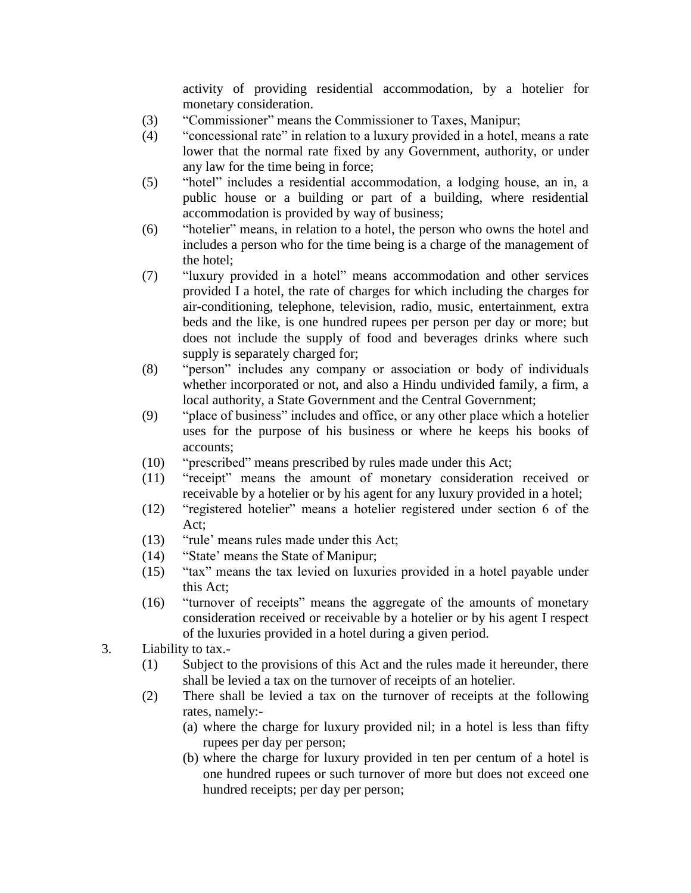activity of providing residential accommodation, by a hotelier for monetary consideration.

- (3) "Commissioner" means the Commissioner to Taxes, Manipur;
- (4) "concessional rate" in relation to a luxury provided in a hotel, means a rate lower that the normal rate fixed by any Government, authority, or under any law for the time being in force;
- (5) "hotel" includes a residential accommodation, a lodging house, an in, a public house or a building or part of a building, where residential accommodation is provided by way of business;
- (6) "hotelier" means, in relation to a hotel, the person who owns the hotel and includes a person who for the time being is a charge of the management of the hotel;
- (7) "luxury provided in a hotel" means accommodation and other services provided I a hotel, the rate of charges for which including the charges for air-conditioning, telephone, television, radio, music, entertainment, extra beds and the like, is one hundred rupees per person per day or more; but does not include the supply of food and beverages drinks where such supply is separately charged for;
- (8) "person" includes any company or association or body of individuals whether incorporated or not, and also a Hindu undivided family, a firm, a local authority, a State Government and the Central Government;
- (9) "place of business" includes and office, or any other place which a hotelier uses for the purpose of his business or where he keeps his books of accounts;
- (10) "prescribed" means prescribed by rules made under this Act;
- (11) "receipt" means the amount of monetary consideration received or receivable by a hotelier or by his agent for any luxury provided in a hotel;
- (12) "registered hotelier" means a hotelier registered under section 6 of the Act;
- (13) "rule' means rules made under this Act;
- (14) "State' means the State of Manipur;
- (15) "tax" means the tax levied on luxuries provided in a hotel payable under this Act;
- (16) "turnover of receipts" means the aggregate of the amounts of monetary consideration received or receivable by a hotelier or by his agent I respect of the luxuries provided in a hotel during a given period.
- 3. Liability to tax.-
	- (1) Subject to the provisions of this Act and the rules made it hereunder, there shall be levied a tax on the turnover of receipts of an hotelier.
	- (2) There shall be levied a tax on the turnover of receipts at the following rates, namely:-
		- (a) where the charge for luxury provided nil; in a hotel is less than fifty rupees per day per person;
		- (b) where the charge for luxury provided in ten per centum of a hotel is one hundred rupees or such turnover of more but does not exceed one hundred receipts; per day per person;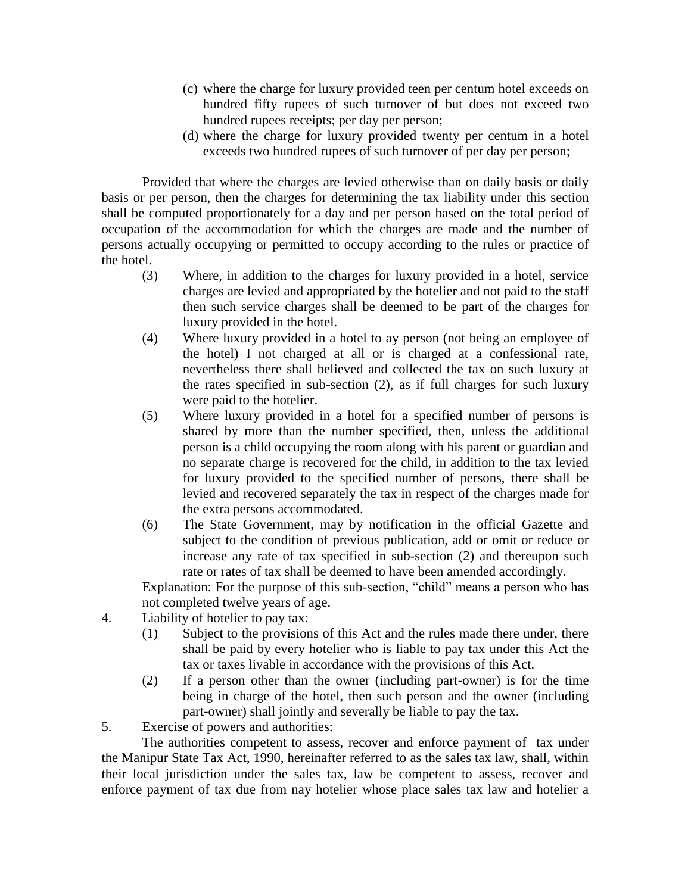- (c) where the charge for luxury provided teen per centum hotel exceeds on hundred fifty rupees of such turnover of but does not exceed two hundred rupees receipts; per day per person;
- (d) where the charge for luxury provided twenty per centum in a hotel exceeds two hundred rupees of such turnover of per day per person;

Provided that where the charges are levied otherwise than on daily basis or daily basis or per person, then the charges for determining the tax liability under this section shall be computed proportionately for a day and per person based on the total period of occupation of the accommodation for which the charges are made and the number of persons actually occupying or permitted to occupy according to the rules or practice of the hotel.

- (3) Where, in addition to the charges for luxury provided in a hotel, service charges are levied and appropriated by the hotelier and not paid to the staff then such service charges shall be deemed to be part of the charges for luxury provided in the hotel.
- (4) Where luxury provided in a hotel to ay person (not being an employee of the hotel) I not charged at all or is charged at a confessional rate, nevertheless there shall believed and collected the tax on such luxury at the rates specified in sub-section (2), as if full charges for such luxury were paid to the hotelier.
- (5) Where luxury provided in a hotel for a specified number of persons is shared by more than the number specified, then, unless the additional person is a child occupying the room along with his parent or guardian and no separate charge is recovered for the child, in addition to the tax levied for luxury provided to the specified number of persons, there shall be levied and recovered separately the tax in respect of the charges made for the extra persons accommodated.
- (6) The State Government, may by notification in the official Gazette and subject to the condition of previous publication, add or omit or reduce or increase any rate of tax specified in sub-section (2) and thereupon such rate or rates of tax shall be deemed to have been amended accordingly.

Explanation: For the purpose of this sub-section, "child" means a person who has not completed twelve years of age.

- 4. Liability of hotelier to pay tax:
	- (1) Subject to the provisions of this Act and the rules made there under, there shall be paid by every hotelier who is liable to pay tax under this Act the tax or taxes livable in accordance with the provisions of this Act.
	- (2) If a person other than the owner (including part-owner) is for the time being in charge of the hotel, then such person and the owner (including part-owner) shall jointly and severally be liable to pay the tax.
- 5. Exercise of powers and authorities:

The authorities competent to assess, recover and enforce payment of tax under the Manipur State Tax Act, 1990, hereinafter referred to as the sales tax law, shall, within their local jurisdiction under the sales tax, law be competent to assess, recover and enforce payment of tax due from nay hotelier whose place sales tax law and hotelier a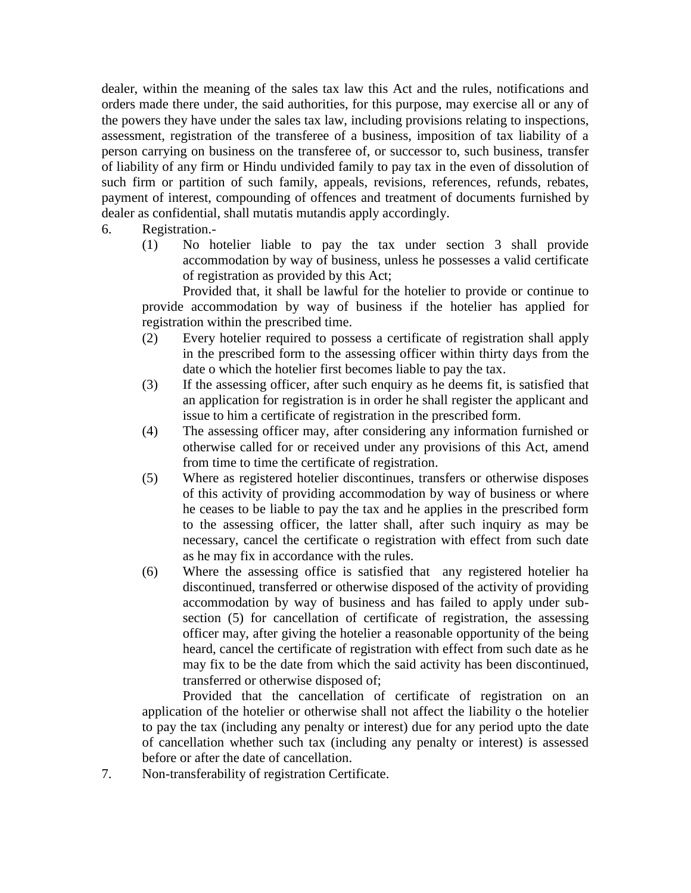dealer, within the meaning of the sales tax law this Act and the rules, notifications and orders made there under, the said authorities, for this purpose, may exercise all or any of the powers they have under the sales tax law, including provisions relating to inspections, assessment, registration of the transferee of a business, imposition of tax liability of a person carrying on business on the transferee of, or successor to, such business, transfer of liability of any firm or Hindu undivided family to pay tax in the even of dissolution of such firm or partition of such family, appeals, revisions, references, refunds, rebates, payment of interest, compounding of offences and treatment of documents furnished by dealer as confidential, shall mutatis mutandis apply accordingly.

- 6. Registration.-
	- (1) No hotelier liable to pay the tax under section 3 shall provide accommodation by way of business, unless he possesses a valid certificate of registration as provided by this Act;

Provided that, it shall be lawful for the hotelier to provide or continue to provide accommodation by way of business if the hotelier has applied for registration within the prescribed time.

- (2) Every hotelier required to possess a certificate of registration shall apply in the prescribed form to the assessing officer within thirty days from the date o which the hotelier first becomes liable to pay the tax.
- (3) If the assessing officer, after such enquiry as he deems fit, is satisfied that an application for registration is in order he shall register the applicant and issue to him a certificate of registration in the prescribed form.
- (4) The assessing officer may, after considering any information furnished or otherwise called for or received under any provisions of this Act, amend from time to time the certificate of registration.
- (5) Where as registered hotelier discontinues, transfers or otherwise disposes of this activity of providing accommodation by way of business or where he ceases to be liable to pay the tax and he applies in the prescribed form to the assessing officer, the latter shall, after such inquiry as may be necessary, cancel the certificate o registration with effect from such date as he may fix in accordance with the rules.
- (6) Where the assessing office is satisfied that any registered hotelier ha discontinued, transferred or otherwise disposed of the activity of providing accommodation by way of business and has failed to apply under subsection (5) for cancellation of certificate of registration, the assessing officer may, after giving the hotelier a reasonable opportunity of the being heard, cancel the certificate of registration with effect from such date as he may fix to be the date from which the said activity has been discontinued, transferred or otherwise disposed of;

Provided that the cancellation of certificate of registration on an application of the hotelier or otherwise shall not affect the liability o the hotelier to pay the tax (including any penalty or interest) due for any period upto the date of cancellation whether such tax (including any penalty or interest) is assessed before or after the date of cancellation.

7. Non-transferability of registration Certificate.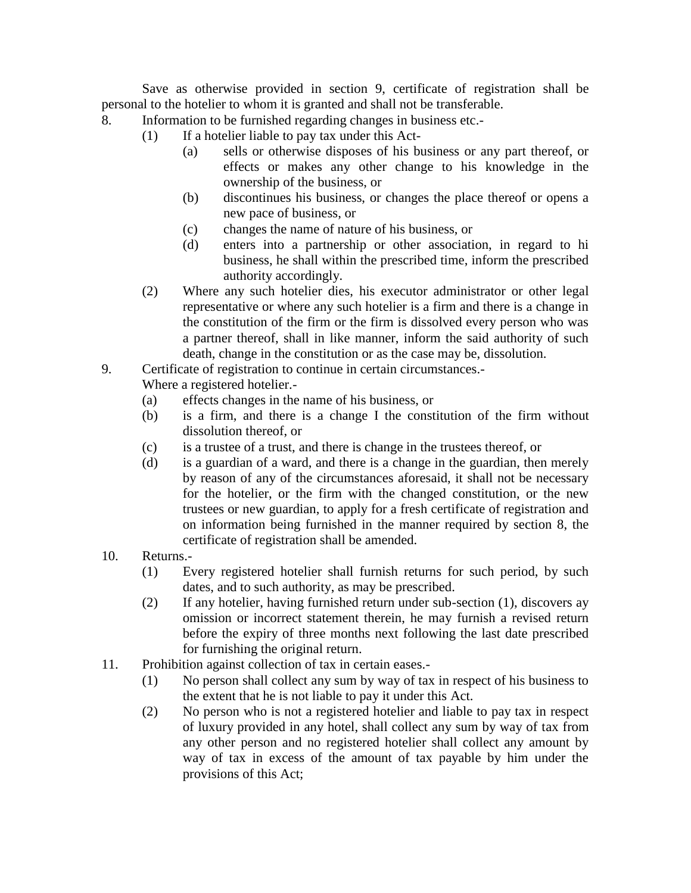Save as otherwise provided in section 9, certificate of registration shall be personal to the hotelier to whom it is granted and shall not be transferable.

- 8. Information to be furnished regarding changes in business etc.-
	- (1) If a hotelier liable to pay tax under this Act-
		- (a) sells or otherwise disposes of his business or any part thereof, or effects or makes any other change to his knowledge in the ownership of the business, or
		- (b) discontinues his business, or changes the place thereof or opens a new pace of business, or
		- (c) changes the name of nature of his business, or
		- (d) enters into a partnership or other association, in regard to hi business, he shall within the prescribed time, inform the prescribed authority accordingly.
	- (2) Where any such hotelier dies, his executor administrator or other legal representative or where any such hotelier is a firm and there is a change in the constitution of the firm or the firm is dissolved every person who was a partner thereof, shall in like manner, inform the said authority of such death, change in the constitution or as the case may be, dissolution.
- 9. Certificate of registration to continue in certain circumstances.-

Where a registered hotelier.-

- (a) effects changes in the name of his business, or
- (b) is a firm, and there is a change I the constitution of the firm without dissolution thereof, or
- (c) is a trustee of a trust, and there is change in the trustees thereof, or
- (d) is a guardian of a ward, and there is a change in the guardian, then merely by reason of any of the circumstances aforesaid, it shall not be necessary for the hotelier, or the firm with the changed constitution, or the new trustees or new guardian, to apply for a fresh certificate of registration and on information being furnished in the manner required by section 8, the certificate of registration shall be amended.
- 10. Returns.-
	- (1) Every registered hotelier shall furnish returns for such period, by such dates, and to such authority, as may be prescribed.
	- (2) If any hotelier, having furnished return under sub-section (1), discovers ay omission or incorrect statement therein, he may furnish a revised return before the expiry of three months next following the last date prescribed for furnishing the original return.
- 11. Prohibition against collection of tax in certain eases.-
	- (1) No person shall collect any sum by way of tax in respect of his business to the extent that he is not liable to pay it under this Act.
	- (2) No person who is not a registered hotelier and liable to pay tax in respect of luxury provided in any hotel, shall collect any sum by way of tax from any other person and no registered hotelier shall collect any amount by way of tax in excess of the amount of tax payable by him under the provisions of this Act;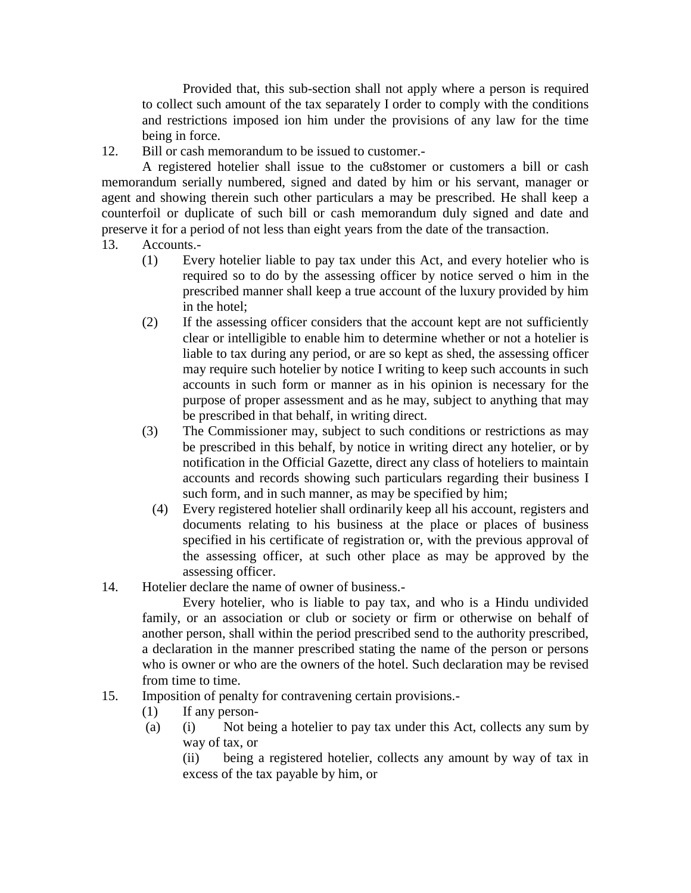Provided that, this sub-section shall not apply where a person is required to collect such amount of the tax separately I order to comply with the conditions and restrictions imposed ion him under the provisions of any law for the time being in force.

12. Bill or cash memorandum to be issued to customer.-

A registered hotelier shall issue to the cu8stomer or customers a bill or cash memorandum serially numbered, signed and dated by him or his servant, manager or agent and showing therein such other particulars a may be prescribed. He shall keep a counterfoil or duplicate of such bill or cash memorandum duly signed and date and preserve it for a period of not less than eight years from the date of the transaction.

- 13. Accounts.-
	- (1) Every hotelier liable to pay tax under this Act, and every hotelier who is required so to do by the assessing officer by notice served o him in the prescribed manner shall keep a true account of the luxury provided by him in the hotel;
	- (2) If the assessing officer considers that the account kept are not sufficiently clear or intelligible to enable him to determine whether or not a hotelier is liable to tax during any period, or are so kept as shed, the assessing officer may require such hotelier by notice I writing to keep such accounts in such accounts in such form or manner as in his opinion is necessary for the purpose of proper assessment and as he may, subject to anything that may be prescribed in that behalf, in writing direct.
	- (3) The Commissioner may, subject to such conditions or restrictions as may be prescribed in this behalf, by notice in writing direct any hotelier, or by notification in the Official Gazette, direct any class of hoteliers to maintain accounts and records showing such particulars regarding their business I such form, and in such manner, as may be specified by him;
		- (4) Every registered hotelier shall ordinarily keep all his account, registers and documents relating to his business at the place or places of business specified in his certificate of registration or, with the previous approval of the assessing officer, at such other place as may be approved by the assessing officer.
- 14. Hotelier declare the name of owner of business.-

Every hotelier, who is liable to pay tax, and who is a Hindu undivided family, or an association or club or society or firm or otherwise on behalf of another person, shall within the period prescribed send to the authority prescribed, a declaration in the manner prescribed stating the name of the person or persons who is owner or who are the owners of the hotel. Such declaration may be revised from time to time.

- 15. Imposition of penalty for contravening certain provisions.-
	- (1) If any person-
	- (a) (i) Not being a hotelier to pay tax under this Act, collects any sum by way of tax, or

(ii) being a registered hotelier, collects any amount by way of tax in excess of the tax payable by him, or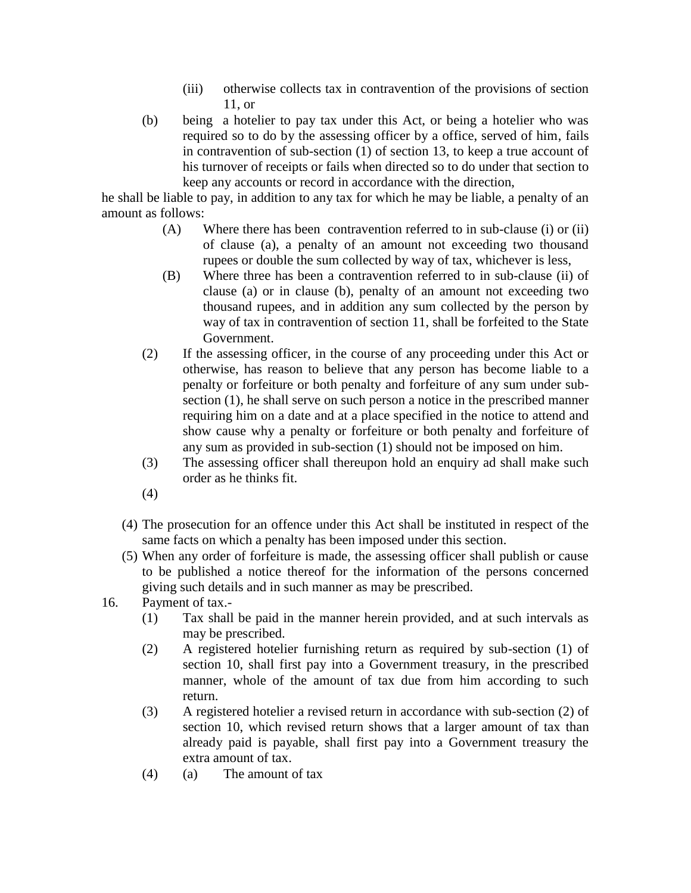- (iii) otherwise collects tax in contravention of the provisions of section 11, or
- (b) being a hotelier to pay tax under this Act, or being a hotelier who was required so to do by the assessing officer by a office, served of him, fails in contravention of sub-section (1) of section 13, to keep a true account of his turnover of receipts or fails when directed so to do under that section to keep any accounts or record in accordance with the direction,

he shall be liable to pay, in addition to any tax for which he may be liable, a penalty of an amount as follows:

- (A) Where there has been contravention referred to in sub-clause (i) or (ii) of clause (a), a penalty of an amount not exceeding two thousand rupees or double the sum collected by way of tax, whichever is less,
- (B) Where three has been a contravention referred to in sub-clause (ii) of clause (a) or in clause (b), penalty of an amount not exceeding two thousand rupees, and in addition any sum collected by the person by way of tax in contravention of section 11, shall be forfeited to the State Government.
- (2) If the assessing officer, in the course of any proceeding under this Act or otherwise, has reason to believe that any person has become liable to a penalty or forfeiture or both penalty and forfeiture of any sum under subsection (1), he shall serve on such person a notice in the prescribed manner requiring him on a date and at a place specified in the notice to attend and show cause why a penalty or forfeiture or both penalty and forfeiture of any sum as provided in sub-section (1) should not be imposed on him.
- (3) The assessing officer shall thereupon hold an enquiry ad shall make such order as he thinks fit.
- (4)
- (4) The prosecution for an offence under this Act shall be instituted in respect of the same facts on which a penalty has been imposed under this section.
- (5) When any order of forfeiture is made, the assessing officer shall publish or cause to be published a notice thereof for the information of the persons concerned giving such details and in such manner as may be prescribed.

### 16. Payment of tax.-

- (1) Tax shall be paid in the manner herein provided, and at such intervals as may be prescribed.
- (2) A registered hotelier furnishing return as required by sub-section (1) of section 10, shall first pay into a Government treasury, in the prescribed manner, whole of the amount of tax due from him according to such return.
- (3) A registered hotelier a revised return in accordance with sub-section (2) of section 10, which revised return shows that a larger amount of tax than already paid is payable, shall first pay into a Government treasury the extra amount of tax.
- (4) (a) The amount of tax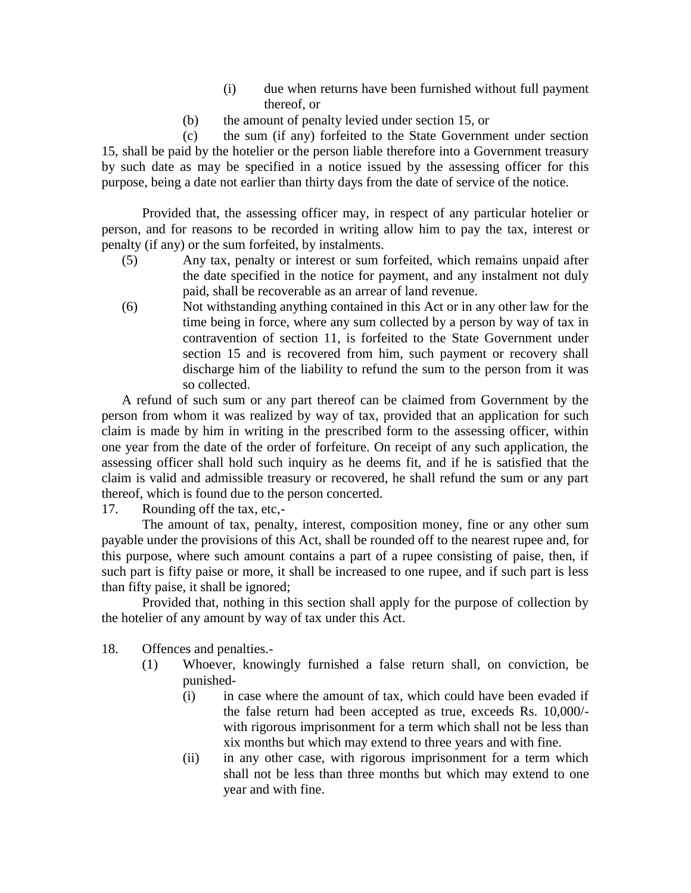- (i) due when returns have been furnished without full payment thereof, or
- (b) the amount of penalty levied under section 15, or

(c) the sum (if any) forfeited to the State Government under section 15, shall be paid by the hotelier or the person liable therefore into a Government treasury by such date as may be specified in a notice issued by the assessing officer for this purpose, being a date not earlier than thirty days from the date of service of the notice.

Provided that, the assessing officer may, in respect of any particular hotelier or person, and for reasons to be recorded in writing allow him to pay the tax, interest or penalty (if any) or the sum forfeited, by instalments.

- (5) Any tax, penalty or interest or sum forfeited, which remains unpaid after the date specified in the notice for payment, and any instalment not duly paid, shall be recoverable as an arrear of land revenue.
- (6) Not withstanding anything contained in this Act or in any other law for the time being in force, where any sum collected by a person by way of tax in contravention of section 11, is forfeited to the State Government under section 15 and is recovered from him, such payment or recovery shall discharge him of the liability to refund the sum to the person from it was so collected.

A refund of such sum or any part thereof can be claimed from Government by the person from whom it was realized by way of tax, provided that an application for such claim is made by him in writing in the prescribed form to the assessing officer, within one year from the date of the order of forfeiture. On receipt of any such application, the assessing officer shall hold such inquiry as he deems fit, and if he is satisfied that the claim is valid and admissible treasury or recovered, he shall refund the sum or any part thereof, which is found due to the person concerted.

17. Rounding off the tax, etc,-

The amount of tax, penalty, interest, composition money, fine or any other sum payable under the provisions of this Act, shall be rounded off to the nearest rupee and, for this purpose, where such amount contains a part of a rupee consisting of paise, then, if such part is fifty paise or more, it shall be increased to one rupee, and if such part is less than fifty paise, it shall be ignored;

Provided that, nothing in this section shall apply for the purpose of collection by the hotelier of any amount by way of tax under this Act.

18. Offences and penalties.-

- (1) Whoever, knowingly furnished a false return shall, on conviction, be punished-
	- (i) in case where the amount of tax, which could have been evaded if the false return had been accepted as true, exceeds Rs. 10,000/ with rigorous imprisonment for a term which shall not be less than xix months but which may extend to three years and with fine.
	- (ii) in any other case, with rigorous imprisonment for a term which shall not be less than three months but which may extend to one year and with fine.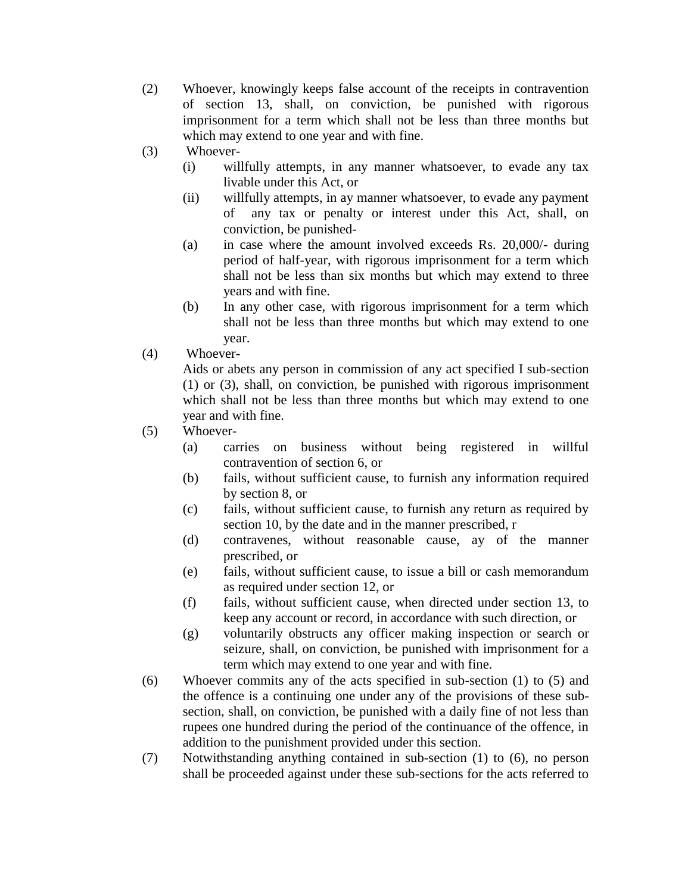- (2) Whoever, knowingly keeps false account of the receipts in contravention of section 13, shall, on conviction, be punished with rigorous imprisonment for a term which shall not be less than three months but which may extend to one year and with fine.
- (3) Whoever-
	- (i) willfully attempts, in any manner whatsoever, to evade any tax livable under this Act, or
	- (ii) willfully attempts, in ay manner whatsoever, to evade any payment of any tax or penalty or interest under this Act, shall, on conviction, be punished-
	- (a) in case where the amount involved exceeds Rs. 20,000/- during period of half-year, with rigorous imprisonment for a term which shall not be less than six months but which may extend to three years and with fine.
	- (b) In any other case, with rigorous imprisonment for a term which shall not be less than three months but which may extend to one year.
- (4) Whoever-

Aids or abets any person in commission of any act specified I sub-section (1) or (3), shall, on conviction, be punished with rigorous imprisonment which shall not be less than three months but which may extend to one year and with fine.

- (5) Whoever-
	- (a) carries on business without being registered in willful contravention of section 6, or
	- (b) fails, without sufficient cause, to furnish any information required by section 8, or
	- (c) fails, without sufficient cause, to furnish any return as required by section 10, by the date and in the manner prescribed, r
	- (d) contravenes, without reasonable cause, ay of the manner prescribed, or
	- (e) fails, without sufficient cause, to issue a bill or cash memorandum as required under section 12, or
	- (f) fails, without sufficient cause, when directed under section 13, to keep any account or record, in accordance with such direction, or
	- (g) voluntarily obstructs any officer making inspection or search or seizure, shall, on conviction, be punished with imprisonment for a term which may extend to one year and with fine.
- (6) Whoever commits any of the acts specified in sub-section (1) to (5) and the offence is a continuing one under any of the provisions of these subsection, shall, on conviction, be punished with a daily fine of not less than rupees one hundred during the period of the continuance of the offence, in addition to the punishment provided under this section.
- (7) Notwithstanding anything contained in sub-section (1) to (6), no person shall be proceeded against under these sub-sections for the acts referred to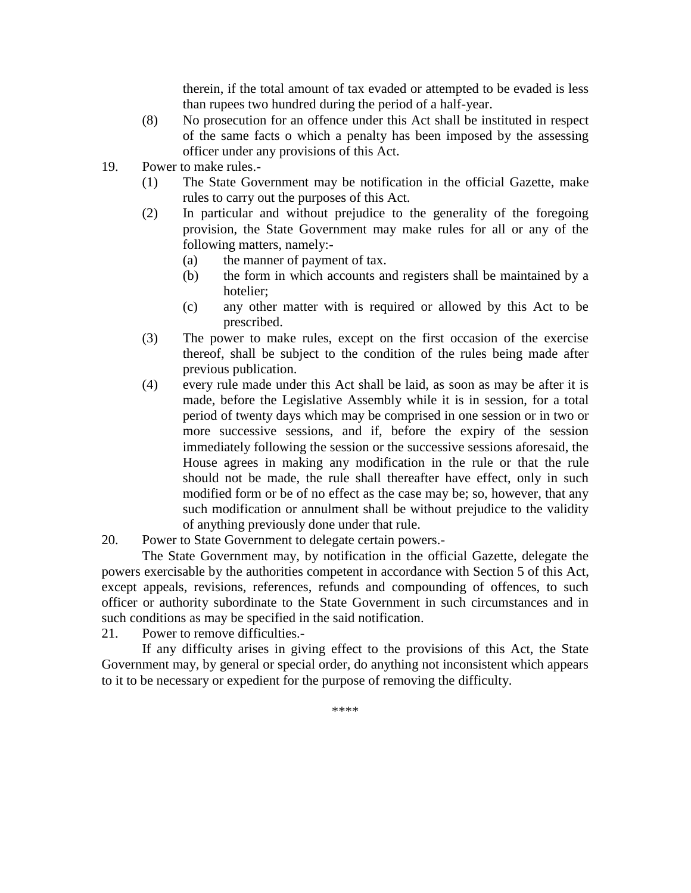therein, if the total amount of tax evaded or attempted to be evaded is less than rupees two hundred during the period of a half-year.

- (8) No prosecution for an offence under this Act shall be instituted in respect of the same facts o which a penalty has been imposed by the assessing officer under any provisions of this Act.
- 19. Power to make rules.-
	- (1) The State Government may be notification in the official Gazette, make rules to carry out the purposes of this Act.
	- (2) In particular and without prejudice to the generality of the foregoing provision, the State Government may make rules for all or any of the following matters, namely:-
		- (a) the manner of payment of tax.
		- (b) the form in which accounts and registers shall be maintained by a hotelier;
		- (c) any other matter with is required or allowed by this Act to be prescribed.
	- (3) The power to make rules, except on the first occasion of the exercise thereof, shall be subject to the condition of the rules being made after previous publication.
	- (4) every rule made under this Act shall be laid, as soon as may be after it is made, before the Legislative Assembly while it is in session, for a total period of twenty days which may be comprised in one session or in two or more successive sessions, and if, before the expiry of the session immediately following the session or the successive sessions aforesaid, the House agrees in making any modification in the rule or that the rule should not be made, the rule shall thereafter have effect, only in such modified form or be of no effect as the case may be; so, however, that any such modification or annulment shall be without prejudice to the validity of anything previously done under that rule.
- 20. Power to State Government to delegate certain powers.-

The State Government may, by notification in the official Gazette, delegate the powers exercisable by the authorities competent in accordance with Section 5 of this Act, except appeals, revisions, references, refunds and compounding of offences, to such officer or authority subordinate to the State Government in such circumstances and in such conditions as may be specified in the said notification.

21. Power to remove difficulties.-

If any difficulty arises in giving effect to the provisions of this Act, the State Government may, by general or special order, do anything not inconsistent which appears to it to be necessary or expedient for the purpose of removing the difficulty.

\*\*\*\*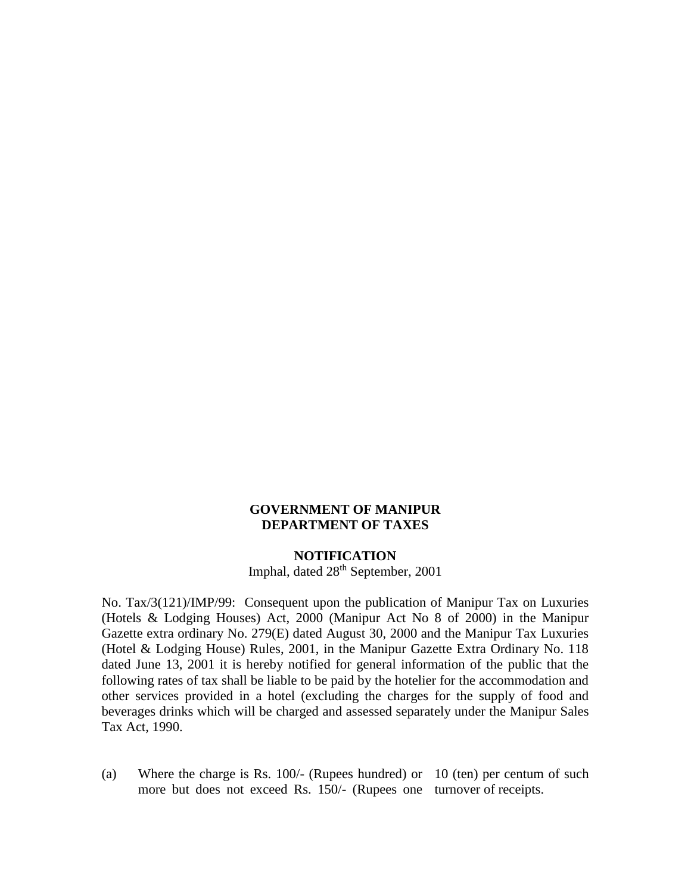#### **GOVERNMENT OF MANIPUR DEPARTMENT OF TAXES**

#### **NOTIFICATION**

Imphal, dated  $28<sup>th</sup>$  September, 2001

No. Tax/3(121)/IMP/99: Consequent upon the publication of Manipur Tax on Luxuries (Hotels & Lodging Houses) Act, 2000 (Manipur Act No 8 of 2000) in the Manipur Gazette extra ordinary No. 279(E) dated August 30, 2000 and the Manipur Tax Luxuries (Hotel & Lodging House) Rules, 2001, in the Manipur Gazette Extra Ordinary No. 118 dated June 13, 2001 it is hereby notified for general information of the public that the following rates of tax shall be liable to be paid by the hotelier for the accommodation and other services provided in a hotel (excluding the charges for the supply of food and beverages drinks which will be charged and assessed separately under the Manipur Sales Tax Act, 1990.

(a) Where the charge is Rs. 100/- (Rupees hundred) or 10 (ten) per centum of such more but does not exceed Rs. 150/- (Rupees one turnover of receipts.